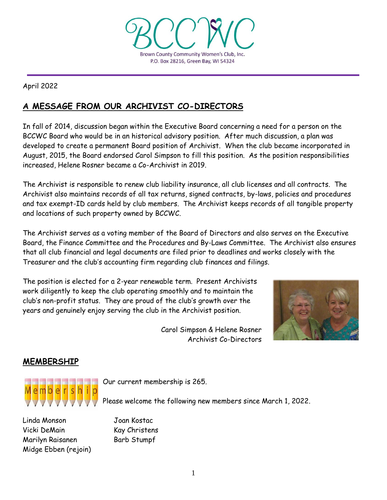

April 2022

# **A MESSAGE FROM OUR ARCHIVIST CO-DIRECTORS**

In fall of 2014, discussion began within the Executive Board concerning a need for a person on the BCCWC Board who would be in an historical advisory position. After much discussion, a plan was developed to create a permanent Board position of Archivist. When the club became incorporated in August, 2015, the Board endorsed Carol Simpson to fill this position. As the position responsibilities increased, Helene Rosner became a Co-Archivist in 2019.

The Archivist is responsible to renew club liability insurance, all club licenses and all contracts. The Archivist also maintains records of all tax returns, signed contracts, by-laws, policies and procedures and tax exempt-ID cards held by club members. The Archivist keeps records of all tangible property and locations of such property owned by BCCWC.

The Archivist serves as a voting member of the Board of Directors and also serves on the Executive Board, the Finance Committee and the Procedures and By-Laws Committee. The Archivist also ensures that all club financial and legal documents are filed prior to deadlines and works closely with the Treasurer and the club's accounting firm regarding club finances and filings.

The position is elected for a 2-year renewable term. Present Archivists work diligently to keep the club operating smoothly and to maintain the club's non-profit status. They are proud of the club's growth over the years and genuinely enjoy serving the club in the Archivist position.

> Carol Simpson & Helene Rosner Archivist Co-Directors



## **MEMBERSHIP**



Linda Monson Joan Kostac Vicki DeMain Kay Christens Marilyn Raisanen Barb Stumpf Midge Ebben (rejoin)

Our current membership is 265.

Please welcome the following new members since March 1, 2022.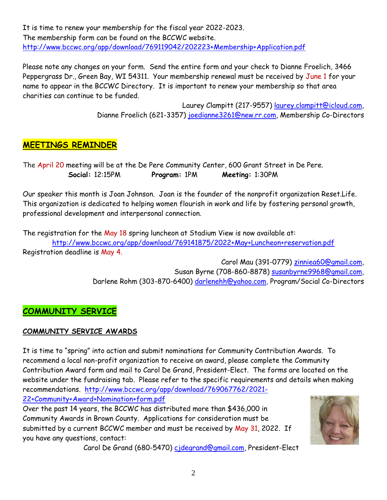It is time to renew your membership for the fiscal year 2022-2023. The membership form can be found on the BCCWC website. <http://www.bccwc.org/app/download/769119042/202223+Membership+Application.pdf>

Please note any changes on your form. Send the entire form and your check to Dianne Froelich, 3466 Peppergrass Dr., Green Bay, WI 54311. Your membership renewal must be received by June 1 for your name to appear in the BCCWC Directory. It is important to renew your membership so that area charities can continue to be funded.

> Laurey Clampitt (217-9557) [laurey.clampitt@icloud.com,](mailto:laurey.clampitt@icloud.com) Dianne Froelich (621-3357) [joedianne3261@new.rr.com,](mailto:joedianne3261@new.rr.com) Membership Co-Directors

## **MEETINGS REMINDER**

The April 20 meeting will be at the De Pere Community Center, 600 Grant Street in De Pere.  **Social:** 12:15PM **Program:** 1PM **Meeting:** 1:30PM

Our speaker this month is Joan Johnson. Joan is the founder of the nonprofit organization Reset.Life. This organization is dedicated to helping women flourish in work and life by fostering personal growth, professional development and interpersonal connection.

The registration for the May 18 spring luncheon at Stadium View is now available at: <http://www.bccwc.org/app/download/769141875/2022+May+Luncheon+reservation.pdf> Registration deadline is May 4.

> Carol Mau (391-0779) [zinniea60@gmail.com,](mailto:zinniea60@gmail.com) Susan Byrne (708-860-8878) [susanbyrne9968@gmail.com,](mailto:susanbyrne9968@gmail.com) Darlene Rohm (303-870-6400) [darlenehh@yahoo.com,](mailto:darlenehh@yahoo.com) Program/Social Co-Directors

## **COMMUNITY SERVICE**

### **COMMUNITY SERVICE AWARDS**

It is time to "spring" into action and submit nominations for Community Contribution Awards. To recommend a local non-profit organization to receive an award, please complete the Community Contribution Award form and mail to Carol De Grand, President-Elect. The forms are located on the website under the fundraising tab. Please refer to the specific requirements and details when making recommendations. [http://www.bccwc.org/app/download/769067762/2021](http://www.bccwc.org/app/download/769067762/2021-22+Community+Award+Nomination+form.pdf)- [22+Community+Award+Nomination+form.pdf](http://www.bccwc.org/app/download/769067762/2021-22+Community+Award+Nomination+form.pdf)

Over the past 14 years, the BCCWC has distributed more than \$436,000 in Community Awards in Brown County. Applications for consideration must be submitted by a current BCCWC member and must be received by May 31, 2022. If you have any questions, contact:



Carol De Grand (680-5470) [cjdegrand@gmail.com,](mailto:cjdegrand@gmail.com) President-Elect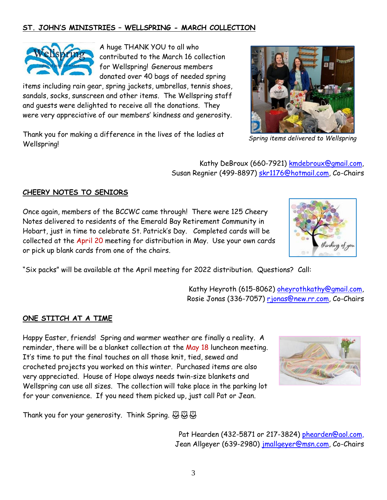3

## **ST. JOHN'S MINISTRIES – WELLSPRING - MARCH COLLECTION**

A huge THANK YOU to all who contributed to the March 16 collection for Wellspring! Generous members donated over 40 bags of needed spring

items including rain gear, spring jackets, umbrellas, tennis shoes, sandals, socks, sunscreen and other items. The Wellspring staff and guests were delighted to receive all the donations. They were very appreciative of our members' kindness and generosity.

Thank you for making a difference in the lives of the ladies at Wellspring!

> Kathy DeBroux (660-7921) [kmdebroux@gmail.com,](mailto:kmdebroux@gmail.com) Susan Regnier (499-8897) [skr1176@hotmail.com,](mailto:skr1176@hotmail.com) Co-Chairs

### **CHEERY NOTES TO SENIORS**

Once again, members of the BCCWC came through! There were 125 Cheery Notes delivered to residents of the Emerald Bay Retirement Community in Hobart, just in time to celebrate St. Patrick's Day. Completed cards will be collected at the April 20 meeting for distribution in May. Use your own cards or pick up blank cards from one of the chairs.

"Six packs" will be available at the April meeting for 2022 distribution. Questions? Call:

Kathy Heyroth (615-8062) [oheyrothkathy@gmail.com,](mailto:oheyrothkathy@gmail.com) Rosie Jonas (336-7057) [rjonas@new.rr.com,](mailto:rjonas@new.rr.com) Co-Chairs

## **ONE STITCH AT A TIME**

Happy Easter, friends! Spring and warmer weather are finally a reality. A reminder, there will be a blanket collection at the May 18 luncheon meeting. It's time to put the final touches on all those knit, tied, sewed and crocheted projects you worked on this winter. Purchased items are also very appreciated. House of Hope always needs twin-size blankets and Wellspring can use all sizes. The collection will take place in the parking lot for your convenience. If you need them picked up, just call Pat or Jean.

Thank you for your generosity. Think Spring.  $\mathfrak{B} \mathfrak{B}$ 

Pat Hearden (432-5871 or 217-3824) [phearden@aol.com,](mailto:phearden@aol.com) Jean Allgeyer (639-2980) [jmallgeyer@msn.com,](mailto:jmallgeyer@msn.com) Co-Chairs







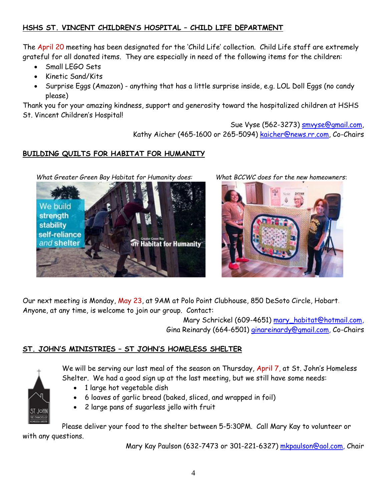## **HSHS ST. VINCENT CHILDREN'S HOSPITAL – CHILD LIFE DEPARTMENT**

The April 20 meeting has been designated for the 'Child Life' collection. Child Life staff are extremely grateful for all donated items. They are especially in need of the following items for the children:

- Small LEGO Sets
- Kinetic Sand/Kits
- Surprise Eggs (Amazon) anything that has a little surprise inside, e.g. LOL Doll Eggs (no candy please)

Thank you for your amazing kindness, support and generosity toward the hospitalized children at HSHS St. Vincent Children's Hospital!

## Sue Vyse (562-3273) [smvyse@gmail.com,](mailto:smvyse@gmail.com) Kathy Aicher (465-1600 or 265-5094) [kaicher@news.rr.com,](mailto:kaicher@news.rr.com) Co-Chairs

### **BUILDING QUILTS FOR HABITAT FOR HUMANITY**

*What Greater Green Bay Habitat for Humanity does: What BCCWC does for the new homeowners*:





Our next meeting is Monday, May 23, at 9AM at Polo Point Clubhouse, 850 DeSoto Circle, Hobart. Anyone, at any time, is welcome to join our group. Contact:

> Mary Schrickel (609-4651) [mary\\_habitat@hotmail.com,](mailto:mary_habitat@hotmail.com) Gina Reinardy (664-6501) [ginareinardy@gmail.com, Co](mailto:ginareinardy@gmail.com,%20Co-Chairs)-Chairs

### **ST. JOHN'S MINISTRIES – ST JOHN'S HOMELESS SHELTER**



- We will be serving our last meal of the season on Thursday, April 7, at St. John's Homeless Shelter. We had a good sign up at the last meeting, but we still have some needs:
	- 1 large hot vegetable dish
	- 6 loaves of garlic bread (baked, sliced, and wrapped in foil)
	- 2 large pans of sugarless jello with fruit

Please deliver your food to the shelter between 5-5:30PM. Call Mary Kay to volunteer or with any questions.

Mary Kay Paulson (632-7473 or 301-221-6327) [mkpaulson@aol.com,](mailto:mkpaulson@aol.com) Chair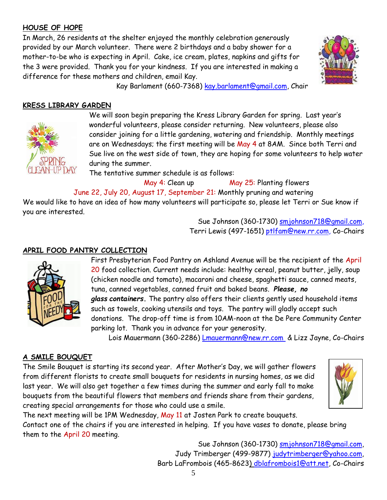## **HOUSE OF HOPE**

In March, 26 residents at the shelter enjoyed the monthly celebration generously provided by our March volunteer. There were 2 birthdays and a baby shower for a mother-to-be who is expecting in April. Cake, ice cream, plates, napkins and gifts for the 3 were provided. Thank you for your kindness. If you are interested in making a difference for these mothers and children, email Kay.



Kay Barlament (660-7368) [kay.barlament@gmail.com,](mailto:kay.barlament@gmail.com) Chair

### **KRESS LIBRARY GARDEN**



We will soon begin preparing the Kress Library Garden for spring. Last year's wonderful volunteers, please consider returning. New volunteers, please also consider joining for a little gardening, watering and friendship. Monthly meetings are on Wednesdays; the first meeting will be May 4 at 8AM. Since both Terri and Sue live on the west side of town, they are hoping for some volunteers to help water during the summer.

The tentative summer schedule is as follows:

May 4: Clean up May 25: Planting flowers June 22, July 20, August 17, September 21: Monthly pruning and watering We would like to have an idea of how many volunteers will participate so, please let Terri or Sue know if you are interested.

> Sue Johnson (360-1730) [smjohnson718@gmail.com,](mailto:smjohnson718@gmail.com) Terri Lewis (497-1651) [ptlfam@new.rr.com,](mailto:ptlfam@new.rr.com) Co-Chairs

## **APRIL FOOD PANTRY COLLECTION**



First Presbyterian Food Pantry on Ashland Avenue will be the recipient of the April 20 food collection. Current needs include: healthy cereal, peanut butter, jelly, soup (chicken noodle and tomato), macaroni and cheese, spaghetti sauce, canned meats, tuna, canned vegetables, canned fruit and baked beans. *Please, no glass containers***.** The pantry also offers their clients gently used household items such as towels, cooking utensils and toys. The pantry will gladly accept such donations. The drop-off time is from 10AM-noon at the De Pere Community Center parking lot. Thank you in advance for your generosity.

Lois Mauermann (360-2286) *[Lmauermann@new.rr.com](mailto:Lmauermann@new.rr.com) & Lizz Jayne, Co-Chairs* 

### **A SMILE BOUQUET**

The Smile Bouquet is starting its second year. After Mother's Day, we will gather flowers from different florists to create small bouquets for residents in nursing homes, as we did last year. We will also get together a few times during the summer and early fall to make bouquets from the beautiful flowers that members and friends share from their gardens, creating special arrangements for those who could use a smile.



The next meeting will be 1PM Wednesday, May 11 at Josten Park to create bouquets. Contact one of the chairs if you are interested in helping. If you have vases to donate, please bring them to the April 20 meeting.

Sue Johnson (360-1730) [smjohnson718@gmail.com,](mailto:smjohnson718@gmail.com) Judy Trimberger (499-9877) judytrimberger@yahoo.com, Barb LaFrombois (465-8623) [dblafrombois1@att.net,](mailto:dblafrombois1@att.net) Co-Chairs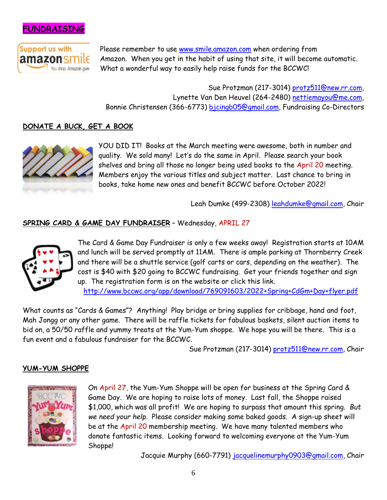



Please remember to use [www.smile.amazon.com](http://www.smile.amazon.com/) when ordering from Amazon. When you get in the habit of using that site, it will become automatic. What a wonderful way to easily help raise funds for the BCCWC!

Sue Protzman (217-3014) [protz511@new.rr.com,](mailto:protz511@new.rr.com) Lynette Van Den Heuvel (264-2480) [nettiemayou@me.com,](mailto:nettiemayou@me.com) Bonnie Christensen (366-6773) [bjcingb05@gmail.com,](mailto:bjcingb05@gmail.com) Fundraising Co-Directors

### **DONATE A BUCK, GET A BOOK**



YOU DID IT! Books at the March meeting were awesome, both in number and quality. We sold many! Let's do the same in April. Please search your book shelves and bring all those no longer being used books to the April 20 meeting. Members enjoy the various titles and subject matter. Last chance to bring in books, take home new ones and benefit BCCWC before October 2022!

Leah Dumke (499-2308) [leahdumke@gmail.com,](mailto:leahdumke@gmail.com) Chair

#### **SPRING CARD & GAME DAY FUNDRAISER** – Wednesday, APRIL 27



The Card & Game Day Fundraiser is only a few weeks away! Registration starts at 10AM and lunch will be served promptly at 11AM. There is ample parking at Thornberry Creek and there will be a shuttle service (golf carts or cars, depending on the weather). The cost is \$40 with \$20 going to BCCWC fundraising. Get your friends together and sign up. The registration form is on the website or click this link. <http://www.bccwc.org/app/download/769091603/2022+Spring+CdGm+Day+flyer.pdf>

What counts as "Cards & Games"? Anything! Play bridge or bring supplies for cribbage, hand and foot, Mah Jongg or any other game. There will be raffle tickets for fabulous baskets, silent auction items to bid on, a 50/50 raffle and yummy treats at the Yum-Yum shoppe. We hope you will be there. This is a fun event and a fabulous fundraiser for the BCCWC.

Sue Protzman (217-3014) [protz511@new.rr.com,](mailto:protz511@new.rr.com) Chair

#### **YUM-YUM SHOPPE**



On April 27, the Yum-Yum Shoppe will be open for business at the Spring Card & Game Day. We are hoping to raise lots of money. Last fall, the Shoppe raised \$1,000, which was all profit! We are hoping to surpass that amount this spring. *But we need your help*. Please consider making some baked goods. A sign-up sheet will be at the April 20 membership meeting. We have many talented members who donate fantastic items. Looking forward to welcoming everyone at the Yum-Yum Shoppe!

Jacquie Murphy (660-7791) [jacquelinemurphy0903@gmail.com,](mailto:jacquelinemurphy0903@gmail.com) Chair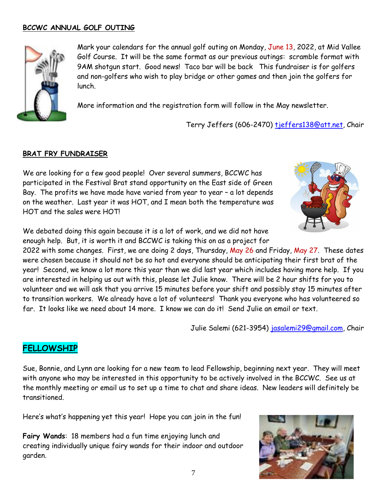#### **BCCWC ANNUAL GOLF OUTING**



Mark your calendars for the annual golf outing on Monday, June 13, 2022, at Mid Vallee Golf Course. It will be the same format as our previous outings: scramble format with 9AM shotgun start. Good news! Taco bar will be back This fundraiser is for golfers and non-golfers who wish to play bridge or other games and then join the golfers for lunch.

More information and the registration form will follow in the May newsletter.

Terry Jeffers (606-2470) [tjeffers138@att.net,](mailto:tjeffers138@att.net) Chair

#### **BRAT FRY FUNDRAISER**

We are looking for a few good people! Over several summers, BCCWC has participated in the Festival Brat stand opportunity on the East side of Green Bay. The profits we have made have varied from year to year – a lot depends on the weather. Last year it was HOT, and I mean both the temperature was HOT and the sales were HOT!



We debated doing this again because it is a lot of work, and we did not have enough help. But, it is worth it and BCCWC is taking this on as a project for

2022 with some changes. First, we are doing 2 days, Thursday, May 26 and Friday, May 27. These dates were chosen because it should not be so hot and everyone should be anticipating their first brat of the year! Second, we know a lot more this year than we did last year which includes having more help. If you are interested in helping us out with this, please let Julie know. There will be 2 hour shifts for you to volunteer and we will ask that you arrive 15 minutes before your shift and possibly stay 15 minutes after to transition workers. We already have a lot of volunteers! Thank you everyone who has volunteered so far. It looks like we need about 14 more. I know we can do it! Send Julie an email or text.

Julie Salemi (621-3954) [jasalemi29@gmail.com,](mailto:jasalemi29@gmail.com) Chair

### **FELLOWSHIP**

Sue, Bonnie, and Lynn are looking for a new team to lead Fellowship, beginning next year. They will meet with anyone who may be interested in this opportunity to be actively involved in the BCCWC. See us at the monthly meeting or email us to set up a time to chat and share ideas. New leaders will definitely be transitioned.

Here's what's happening yet this year! Hope you can join in the fun!

**Fairy Wands**: 18 members had a fun time enjoying lunch and creating individually unique fairy wands for their indoor and outdoor garden.

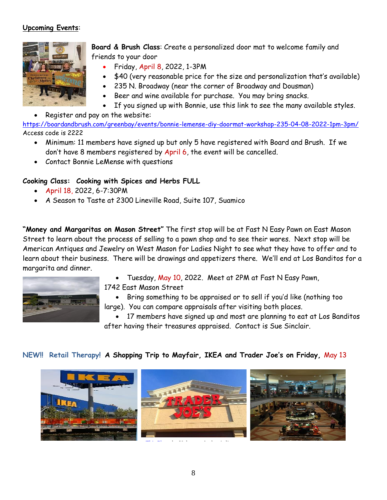### **Upcoming Events**:



**Board & Brush Class**: Create a personalized door mat to welcome family and friends to your door

- Friday, April 8, 2022, 1-3PM
- \$40 (very reasonable price for the size and personalization that's available)
- 235 N. Broadway (near the corner of Broadway and Dousman)
- Beer and wine available for purchase. You may bring snacks.
- If you signed up with Bonnie, use this link to see the many available styles.
- Register and pay on the website:

[https://boardandbrush.com/greenbay/events/bonnie](https://boardandbrush.com/greenbay/events/bonnie-lemense-diy-doormat-workshop-235-04-08-2022-1pm-3pm/)-lemense-diy-doormat-workshop-235-04-08-2022-1pm-3pm/ Access code is 2222

- Minimum: 11 members have signed up but only 5 have registered with Board and Brush. If we don't have 8 members registered by April 6, the event will be cancelled.
- Contact Bonnie LeMense with questions

#### **Cooking Class: Cooking with Spices and Herbs FULL**

- April 18, 2022, 6-7:30PM
- A Season to Taste at 2300 Lineville Road, Suite 107, Suamico

**"Money and Margaritas on Mason Street"** The first stop will be at Fast N Easy Pawn on East Mason Street to learn about the process of selling to a pawn shop and to see their wares. Next stop will be American Antiques and Jewelry on West Mason for Ladies Night to see what they have to offer and to learn about their business. There will be drawings and appetizers there. We'll end at Los Banditos for a margarita and dinner.



- Tuesday, May 10, 2022. Meet at 2PM at Fast N Easy Pawn, 1742 East Mason Street
- Bring something to be appraised or to sell if you'd like (nothing too large). You can compare appraisals after visiting both places.

 17 members have signed up and most are planning to eat at Los Banditos after having their treasures appraised. Contact is Sue Sinclair.

#### **NEW!! Retail Therapy! A Shopping Trip to Mayfair, IKEA and Trader Joe's on Friday,** May 13

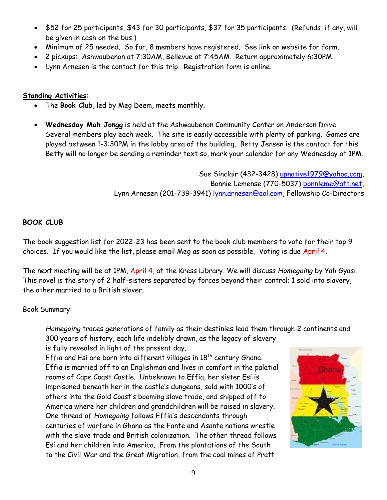- \$52 for 25 participants, \$43 for 30 participants, \$37 for 35 participants. (Refunds, if any, will be given in cash on the bus.)
- Minimum of 25 needed. So far, 8 members have registered. See link on website for form.
- 2 pickups: Ashwaubenon at 7:30AM, Bellevue at 7:45AM. Return approximately 6:30PM.
- Lynn Arnesen is the contact for this trip. Registration form is online.

#### **Standing Activities**:

- The **Book Club**, led by Meg Deem, meets monthly.
- **Wednesday Mah Jongg** is held at the Ashwaubenon Community Center on Anderson Drive. Several members play each week. The site is easily accessible with plenty of parking. Games are played between 1-3:30PM in the lobby area of the building. Betty Jensen is the contact for this. Betty will no longer be sending a reminder text so, mark your calendar for any Wednesday at 1PM.

Sue Sinclair (432-3428) [upnative1979@yahoo.com,](mailto:upnative1979@yahoo.com) Bonnie Lemense (770-5037) [bonnleme@att.net,](mailto:bonnleme@att.net) Lynn Arnesen (201-739-3941) [lynn.arnesen@aol.com,](mailto:lynn.arnesen@aol.com) Fellowship Co-Directors

### **BOOK CLUB**

The book suggestion list for 2022-23 has been sent to the book club members to vote for their top 9 choices. If you would like the list, please email Meg as soon as possible. Voting is due April 4.

The next meeting will be at 1PM, April 4, at the Kress Library. We will discuss *Homegoing* by Yah Gyasi. This novel is the story of 2 half-sisters separated by forces beyond their control; 1 sold into slavery, the other married to a British slaver.

#### Book Summary:

*Homegoing* traces generations of family as their destinies lead them through 2 continents and 300 years of history, each life indelibly drawn, as the legacy of slavery is fully revealed in light of the present day.

Effia and Esi are born into different villages in 18 $^{\rm th}$  century Ghana. Effia is married off to an Englishman and lives in comfort in the palatial rooms of Cape Coast Castle. Unbeknown to Effia, her sister Esi is imprisoned beneath her in the castle's dungeons, sold with 1000's of others into the Gold Coast's booming slave trade, and shipped off to America where her children and grandchildren will be raised in slavery. One thread of *Homegoing* follows Effia's descendants through centuries of warfare in Ghana as the Fante and Asante nations wrestle with the slave trade and British colonization. The other thread follows Esi and her children into America. From the plantations of the South to the Civil War and the Great Migration, from the coal mines of Pratt